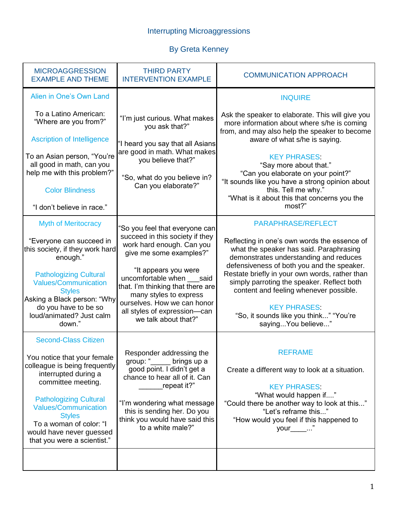## Interrupting Microaggressions

## By Greta Kenney

| <b>MICROAGGRESSION</b><br><b>EXAMPLE AND THEME</b>                                                                                                                                                                                                                                                               | <b>THIRD PARTY</b><br><b>INTERVENTION EXAMPLE</b>                                                                                                                                                                                                                                                                                  | <b>COMMUNICATION APPROACH</b>                                                                                                                                                                                                                                                                                                                                                                                                                 |
|------------------------------------------------------------------------------------------------------------------------------------------------------------------------------------------------------------------------------------------------------------------------------------------------------------------|------------------------------------------------------------------------------------------------------------------------------------------------------------------------------------------------------------------------------------------------------------------------------------------------------------------------------------|-----------------------------------------------------------------------------------------------------------------------------------------------------------------------------------------------------------------------------------------------------------------------------------------------------------------------------------------------------------------------------------------------------------------------------------------------|
| Alien in One's Own Land                                                                                                                                                                                                                                                                                          |                                                                                                                                                                                                                                                                                                                                    | <b>INQUIRE</b>                                                                                                                                                                                                                                                                                                                                                                                                                                |
| To a Latino American:<br>"Where are you from?"<br><b>Ascription of Intelligence</b><br>To an Asian person, "You're<br>all good in math, can you<br>help me with this problem?"<br><b>Color Blindness</b><br>"I don't believe in race."                                                                           | "I'm just curious. What makes<br>you ask that?"<br>"I heard you say that all Asians<br>are good in math. What makes<br>you believe that?"<br>"So, what do you believe in?<br>Can you elaborate?"                                                                                                                                   | Ask the speaker to elaborate. This will give you<br>more information about where s/he is coming<br>from, and may also help the speaker to become<br>aware of what s/he is saying.<br><b>KEY PHRASES</b><br>"Say more about that."<br>"Can you elaborate on your point?"<br>"It sounds like you have a strong opinion about<br>this. Tell me why."<br>"What is it about this that concerns you the<br>most?"                                   |
| <b>Myth of Meritocracy</b><br>"Everyone can succeed in<br>this society, if they work hard<br>enough."<br><b>Pathologizing Cultural</b><br><b>Values/Communication</b><br><b>Styles</b><br>Asking a Black person: "Why<br>do you have to be so<br>loud/animated? Just calm<br>down."                              | 'So you feel that everyone can<br>succeed in this society if they<br>work hard enough. Can you<br>give me some examples?"<br>"It appears you were<br>uncomfortable when said<br>that. I'm thinking that there are<br>many styles to express<br>ourselves. How we can honor<br>all styles of expression-can<br>we talk about that?" | <b>PARAPHRASE/REFLECT</b><br>Reflecting in one's own words the essence of<br>what the speaker has said. Paraphrasing<br>demonstrates understanding and reduces<br>defensiveness of both you and the speaker.<br>Restate briefly in your own words, rather than<br>simply parroting the speaker. Reflect both<br>content and feeling whenever possible.<br><b>KEY PHRASES</b><br>"So, it sounds like you think" "You're<br>saying You believe" |
| <b>Second-Class Citizen</b><br>You notice that your female<br>colleague is being frequently<br>interrupted during a<br>committee meeting.<br><b>Pathologizing Cultural</b><br><b>Values/Communication</b><br><b>Styles</b><br>To a woman of color: "I<br>would have never guessed<br>that you were a scientist." | Responder addressing the<br>group: "<br>brings up a<br>good point. I didn't get a<br>chance to hear all of it. Can<br>repeat it?"<br>"I'm wondering what message<br>this is sending her. Do you<br>think you would have said this<br>to a white male?"                                                                             | <b>REFRAME</b><br>Create a different way to look at a situation.<br><b>KEY PHRASES</b><br>"What would happen if"<br>"Could there be another way to look at this"<br>"Let's reframe this"<br>"How would you feel if this happened to<br>your______"                                                                                                                                                                                            |